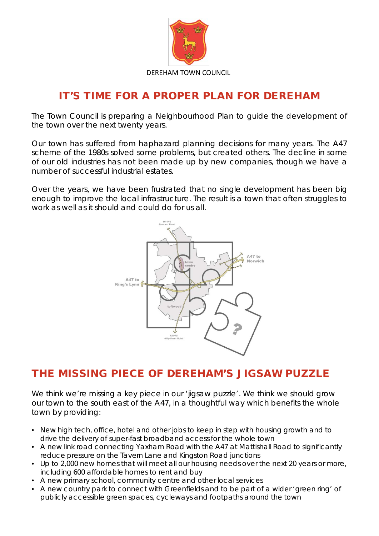

## IT'S TIME FOR A PROPER PLAN FOR DEREHAM

The Town Council is preparing a Neighbourhood Plan to guide the development of the town over the next twenty years.

Our town has suffered from haphazard planning decisions for many years. The A47 scheme of the 1980s solved some problems, but created others. The decline in some of our old industries has not been made up by new companies, though we have a number of successful industrial estates.

Over the years, we have been frustrated that no single development has been big enough to improve the local infrastructure. The result is a town that often struggles to work as well as it should and could do for us all.



## THE MISSING PIECE OF DEREHAM'S JIGSAW PUZZLE

We think we're missing a key piece in our 'jigsaw puzzle'. We think we should grow our town to the south east of the A47, in a thoughtful way which benefits the whole town by providing:

- New high tech, office, hotel and other jobs to keep in step with housing growth and to drive the delivery of super-fast broadband access for the whole town
- A new link road connecting Yaxham Road with the A47 at Mattishall Road to significantly reduce pressure on the Tavern Lane and Kingston Road junctions
- Up to 2,000 new homes that will meet all our housing needs over the next 20 years or more, including 600 affordable homes to rent and buy
- A new primary school, community centre and other local services
- A new country park to connect with Greenfields and to be part of a wider 'green ring' of publicly accessible green spaces, cycleways and footpaths around the town